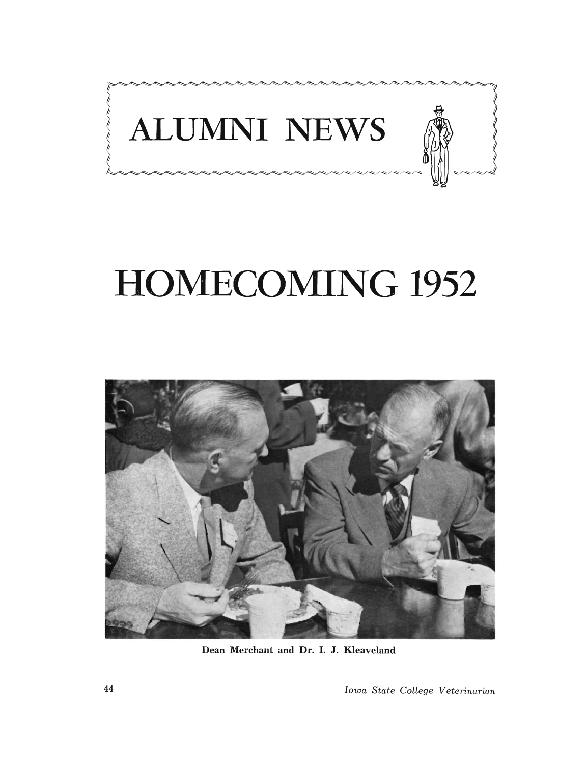

# **HOMECOMING 1952**



Dean Merchant and Dr. I. J. Kleaveland

44 *Iowa State College Veterinarian*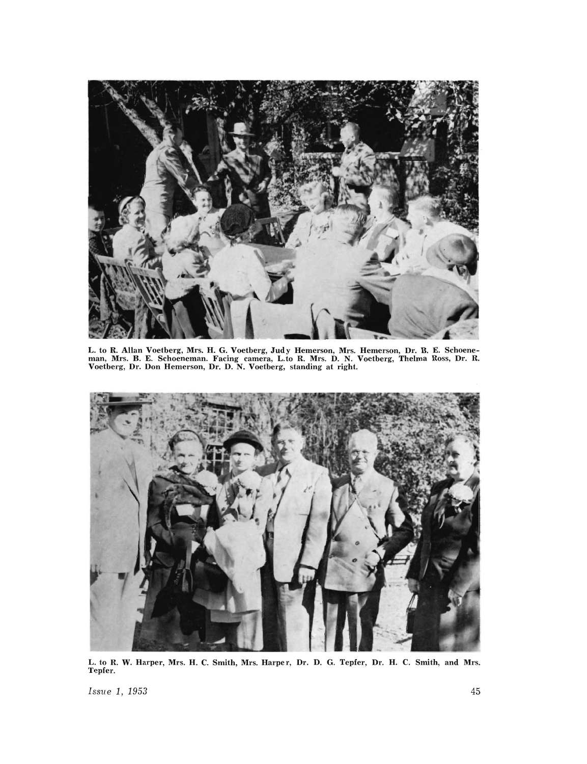

L. to R. Allan Voetberg, Mrs. H. G. Voetberg, Judy Hemerson, Mrs. Hemerson, Dr. B. E. Schoeneman, Mrs. B. E. Schoeneman. Facing camera, L.to R. Mrs. D. N. Voetberg, Thelma Ross, Dr. R. Voetberg, Dr. Don Hemerson, Dr. D. N. Voetberg, standing at right.



L. to R. W. Harper, Mrs. H. C. Smith, Mrs. Harper, Dr. D. G. Tepfer, Dr. H. C. Smith, and Mrs.<br>Tepfer.

*Issue 1, 1953* 45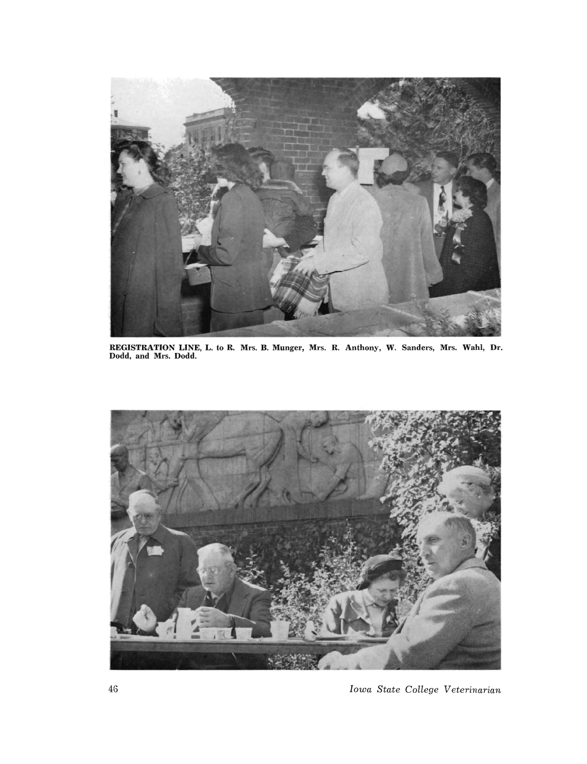

REGISTRATION LINE, L. to R. Mrs. B. Munger, Mrs. R. Anthony, W. Sanders, Mrs. Wahl, Dr. Dodd, and Mrs. Dodd.



46 *Iowa State College Veterinarian*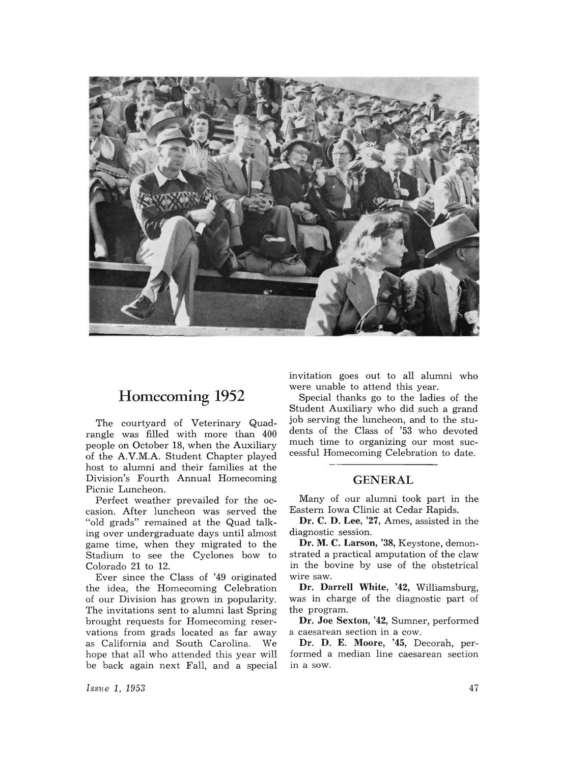

## Homecoming 1952

The courtyard of Veterinary Quadrangle was filled with more than 400 people on October 18, when the Auxiliary of the A.V.M.A. Student Chapter played host to alumni and their families at the Division's Fourth Annual Homecoming Picnic Luncheon.

Perfect weather prevailed for the occasion. After luncheon was served the "old grads" remained at the Quad talking over undergraduate days until almost game time, when they migrated to the Stadium to see the Cyclones bow to Colorado 21 to 12.

Ever since the Class of '49 originated the idea, the Homecoming Celebration of our Division has grown in popularity. The invitations sent to alumni last Spring brought requests for Homecoming reservations from grads located as far away as California and South Carolina. We hope that all who attended this year will be back again next Fall, and a special invitation goes out to all alumni who were unable to attend this year.

Special thanks go to the ladies of the Student Auxiliary who did such a grand job serving the luncheon, and to the students of the Class of '53 who devoted much time to organizing our most successful Homecoming Celebration to date.

### GENERAL

Many of our alumni took part in the Eastern Iowa Clinic at Cedar Rapids.

Dr. C. D. Lee, '27, Ames, assisted in the diagnostic session.

Dr. M. C. Larson, '38, Keystone, demonstrated a practical amputation of the claw in the bovine by use of the obstetrical wire saw.

Dr. Darrell White, '42, Williamsburg, was in charge of the diagnostic part of the program.

Dr. Joe Sexton, '42, Sumner, performed a caesarean section in a cow.

Dr. D. E. Moore, '45, Decorah, performed a median line caesarean section in a sow.

*ISStle* 1, 1953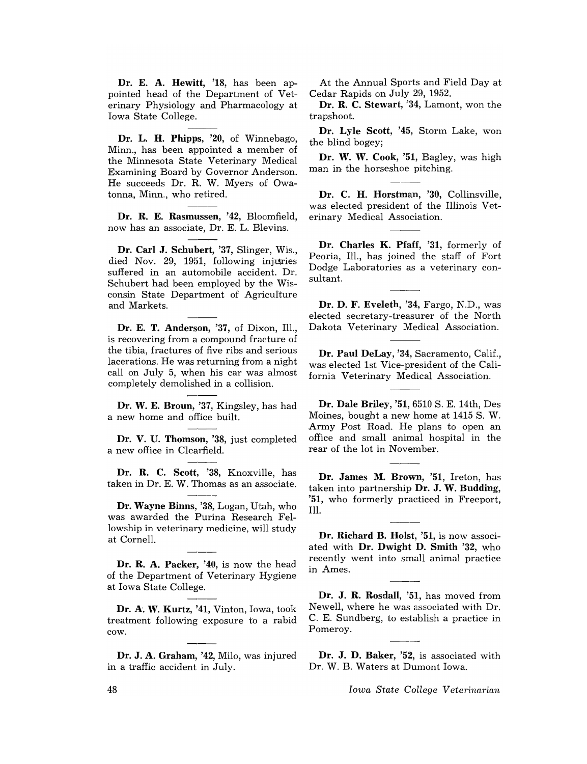Dr. E. A. Hewitt, '18, has been appointed head of the Department of Veterinary Physiology and Pharmacology at Iowa State College.

Dr. L. H. Phipps, '20, of Winnebago, Minn., has been appointed a member of the Minnesota State Veterinary Medical Examining Board by Governor Anderson. He succeeds Dr. R. W. Myers of Owatonna, Minn., who retired.

Dr. R. E. Rasmussen, '42, Bloomfield, now has an associate, Dr. E. L. Blevins.

Dr. Carl J. Schubert, '37, Slinger, Wis., died Nov. 29, 1951, following injuries suffered in an automobile accident. Dr. Schubert had been employed by the Wisconsin State Department of Agriculture and Markets.

Dr. E. T. Anderson, '37, of Dixon, Ill., is recovering from a compound fracture of the tibia, fractures of five ribs and serious lacerations. He was returning from a night call on July 5, when his car was almost completely demolished in a collision.

Dr. W. E. Broun, '37, Kingsley, has had a new home and office built.

Dr. V. U. Thomson, '38, just completed a new office in Clearfield.

Dr. R. C. Scott, '38, Knoxville, has taken in Dr. E. W. Thomas as an associate.

Dr. Wayne Binns, '38, Logan, Utah, who was awarded the Purina Research Fellowship in veterinary medicine, will study at Cornell.

Dr. R. A. Packer, '40, is now the head of the Department of Veterinary Hygiene at Iowa State College.

Dr. A. W. Kurtz, '41, Vinton, Iowa, took treatment following exposure to a rabid cow.

Dr. J. A. Graham, '42, Milo, was injured in a traffic accident in July.

At the Annual Sports and Field Day at Cedar Rapids on July 29, 1952.

Dr. R. C. Stewart, '34, Lamont, won the trapshoot.

Dr. Lyle Scott, '45, Storm Lake, won the blind bogey;

Dr. W. W. Cook, '51, Bagley, was high man in the horseshoe pitching.

Dr. C. H. Horstman, '30, Collinsville, was elected president of the Illinois Veterinary Medical Association.

Dr. Charles K. Pfaff, '31, formerly of Peoria, Ill., has joined the staff of Fort Dodge Laboratories as a veterinary consultant.

Dr. D. F. Eveleth, '34, Fargo, N.D., was elected secretary-treasurer of the North Dakota Veterinary Medical Association.

Dr. Paul DeLay, '34, Sacramento, Calif., was elected 1st Vice-president of the California Veterinary Medical Association.

Dr. Dale Briley, '51, 6510 S. E. 14th, Des Moines, bought a new home at 1415 S. W. Army Post Road. He plans to open an office and small animal hospital in the rear of the lot in November.

Dr. James M. Brown, '51, Ireton, has taken into partnership  $\mathbf{D}\mathbf{r}$ . J. W. Budding, '51, who formerly practiced in Freeport, Ill.

Dr. Richard B. Holst, '51, is now associated with Dr. Dwight D. Smith '32, who recently went into small animal practice in Ames.

Dr. J. R. Rosdall, '51, has moved from Newell, where he was associated with Dr. C. E. Sundberg, to establish a practice in Pomeroy.

Dr. J. D. Baker, '52, is associated with Dr. W. B. Waters at Dumont Iowa.

*Iowa State College Veterinarian*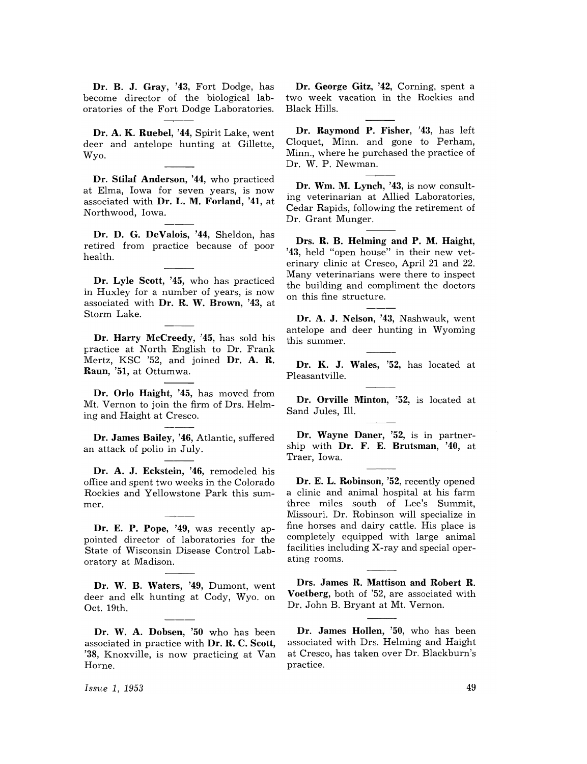Dr. B. J. Gray, '43, Fort Dodge, has become director of the biological laboratories of the Fort Dodge Laboratories.

Dr. A. K. Ruebel, '44, Spirit Lake, went deer and antelope hunting at Gillette, Wyo.

Dr. Stilaf Anderson, '44, who practiced at Elma, Iowa for seven years, is now associated with Dr. L. M. Forland, '41, at Northwood, Iowa.

Dr. D. G. DeValois, '44, Sheldon, has retired from practice because of poor health.

Dr. Lyle Scott, '45, who has practiced in Huxley for a number of years, is now associated with Dr. R. W. Brown, '43, at Storm Lake.

Dr. Harry McCreedy, '45, has sold his tractice at North English to Dr. Frank Mertz, KSC '52, and joined Dr. A. R. Raun, '51, at Ottumwa.

Dr. Orlo Haight, '45, has moved from Mt. Vernon to join the firm of Drs. Helming and Haight at Cresco.

Dr. James Bailey, '46, Atlantic, suffered an attack of polio in July.

Dr. A. J. Eckstein, '46, remodeled his office and spent two weeks in the Colorado Rockies and Yellowstone Park this summer.

Dr. E. P. Pope, '49, was recently appointed director of laboratories for the State of Wisconsin Disease Control Laboratory at Madison.

Dr. W. B. Waters, '49, Dumont, went deer and elk hunting at Cody, Wyo. on Oct. 19th.

Dr. W. A. Dobsen, '50 who has been associated in practice with Dr. R. C. Scott, '38, Knoxville, is now practicing at Van Horne.

Dr. George Gitz, '42, Corning, spent a two week vacation in the Rockies and Black Hills.

Dr. Raymond P. Fisher, '43, has left Cloquet, Minn. and gone to Perham, Minn., where he purchased the practice of Dr. W. P. Newman.

Dr. Wm. M. Lynch, '43, is now consulting veterinarian at Allied Laboratories, Cedar Rapids, following the retirement of Dr. Grant Munger.

Drs. R. B. Helming and P. M. Haight, '43, held "open house" in their new veterinary clinic at Cresco, April 21 and 22. Many veterinarians were there to inspect the building and compliment the doctors on this fine structure.

Dr. A. J. Nelson, '43, Nashwauk, went antelope and deer hunting in Wyoming this summer.

Dr. K. J. Wales, '52, has located at Pleasantville.

Dr. Orville Minton, '52, is located at Sand Jules, Ill.

Dr. Wayne Daner, '52, is in partnership with Dr. F. E. Brutsman, '40, at Traer, Iowa.

Dr. E. L. Robinson, '52, recently opened a clinic and animal hospital at his farm three miles south of Lee's Summit, Missouri. Dr. Robinson will specialize in fine horses and dairy cattle. His place is completely equipped with large animal facilities including X-ray and special operating rooms.

Drs. James R. Mattison and Rohert R. Voetherg, both of '52, are associated with Dr. John B. Bryant at Mt. Vernon.

Dr. James Hollen, '50, who has been associated with Drs. Helming and Haight at Cresco, has taken over Dr. Blackburn's practice.

*Issue* 1, 1953